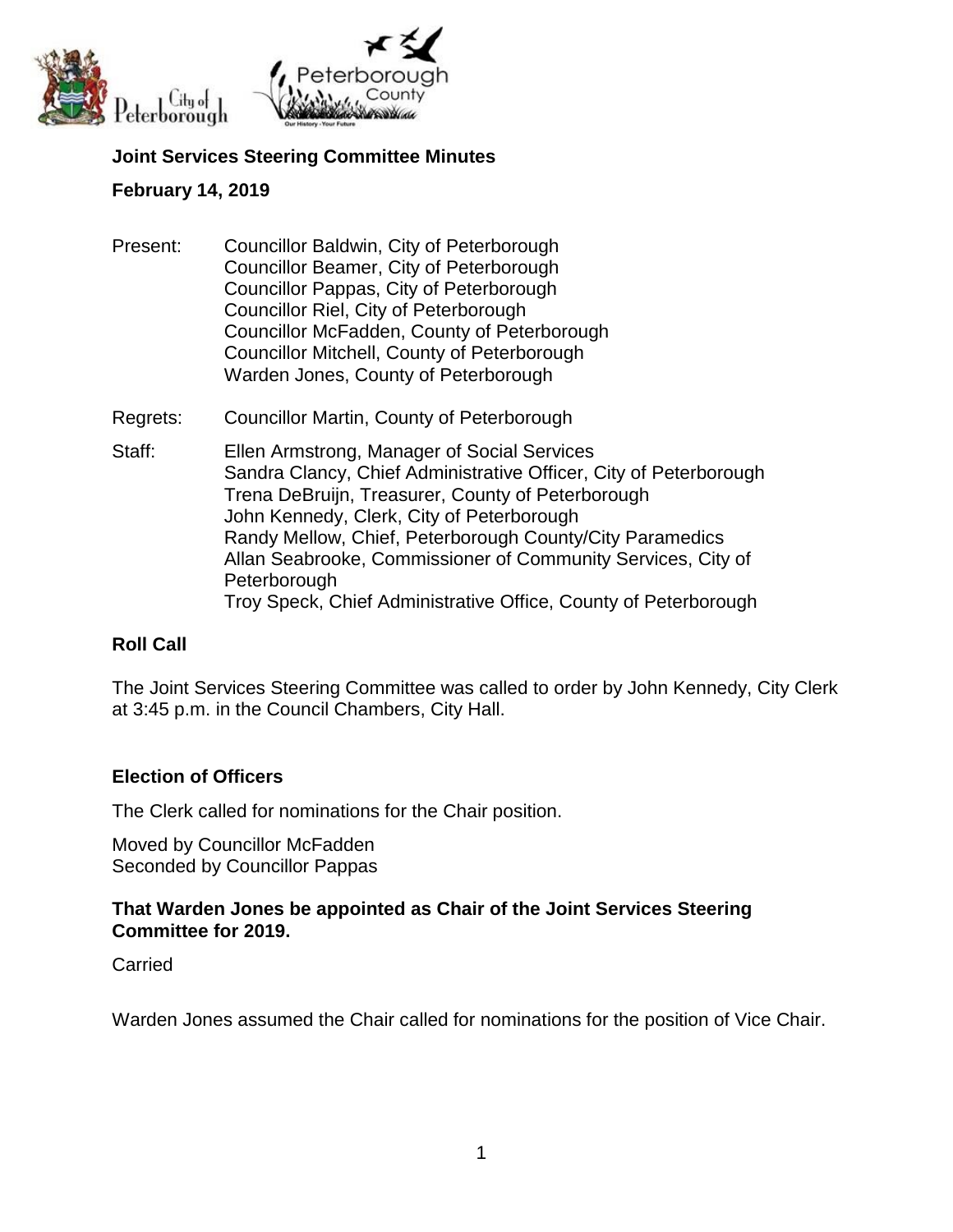

### **Joint Services Steering Committee Minutes**

### **February 14, 2019**

- Present: Councillor Baldwin, City of Peterborough Councillor Beamer, City of Peterborough Councillor Pappas, City of Peterborough Councillor Riel, City of Peterborough Councillor McFadden, County of Peterborough Councillor Mitchell, County of Peterborough Warden Jones, County of Peterborough
- Regrets: Councillor Martin, County of Peterborough
- Staff: Ellen Armstrong, Manager of Social Services Sandra Clancy, Chief Administrative Officer, City of Peterborough Trena DeBruijn, Treasurer, County of Peterborough John Kennedy, Clerk, City of Peterborough Randy Mellow, Chief, Peterborough County/City Paramedics Allan Seabrooke, Commissioner of Community Services, City of **Peterborough** Troy Speck, Chief Administrative Office, County of Peterborough

### **Roll Call**

The Joint Services Steering Committee was called to order by John Kennedy, City Clerk at 3:45 p.m. in the Council Chambers, City Hall.

#### **Election of Officers**

The Clerk called for nominations for the Chair position.

Moved by Councillor McFadden Seconded by Councillor Pappas

#### **That Warden Jones be appointed as Chair of the Joint Services Steering Committee for 2019.**

#### Carried

Warden Jones assumed the Chair called for nominations for the position of Vice Chair.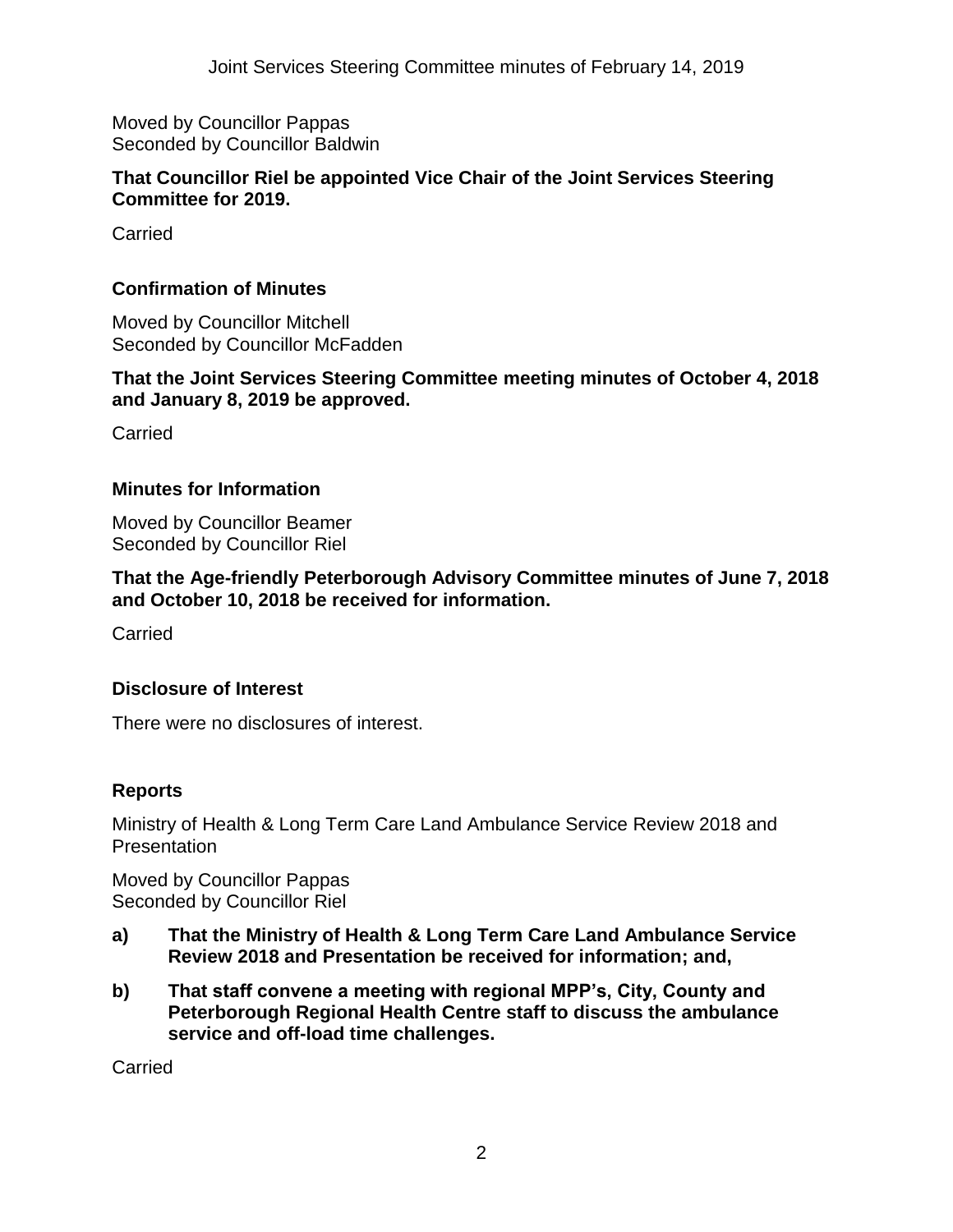Moved by Councillor Pappas Seconded by Councillor Baldwin

## **That Councillor Riel be appointed Vice Chair of the Joint Services Steering Committee for 2019.**

Carried

# **Confirmation of Minutes**

Moved by Councillor Mitchell Seconded by Councillor McFadden

## **That the Joint Services Steering Committee meeting minutes of October 4, 2018 and January 8, 2019 be approved.**

**Carried** 

# **Minutes for Information**

Moved by Councillor Beamer Seconded by Councillor Riel

**That the Age-friendly Peterborough Advisory Committee minutes of June 7, 2018 and October 10, 2018 be received for information.**

Carried

# **Disclosure of Interest**

There were no disclosures of interest.

# **Reports**

Ministry of Health & Long Term Care Land Ambulance Service Review 2018 and **Presentation** 

Moved by Councillor Pappas Seconded by Councillor Riel

- **a) That the Ministry of Health & Long Term Care Land Ambulance Service Review 2018 and Presentation be received for information; and,**
- **b) That staff convene a meeting with regional MPP's, City, County and Peterborough Regional Health Centre staff to discuss the ambulance service and off-load time challenges.**

**Carried**